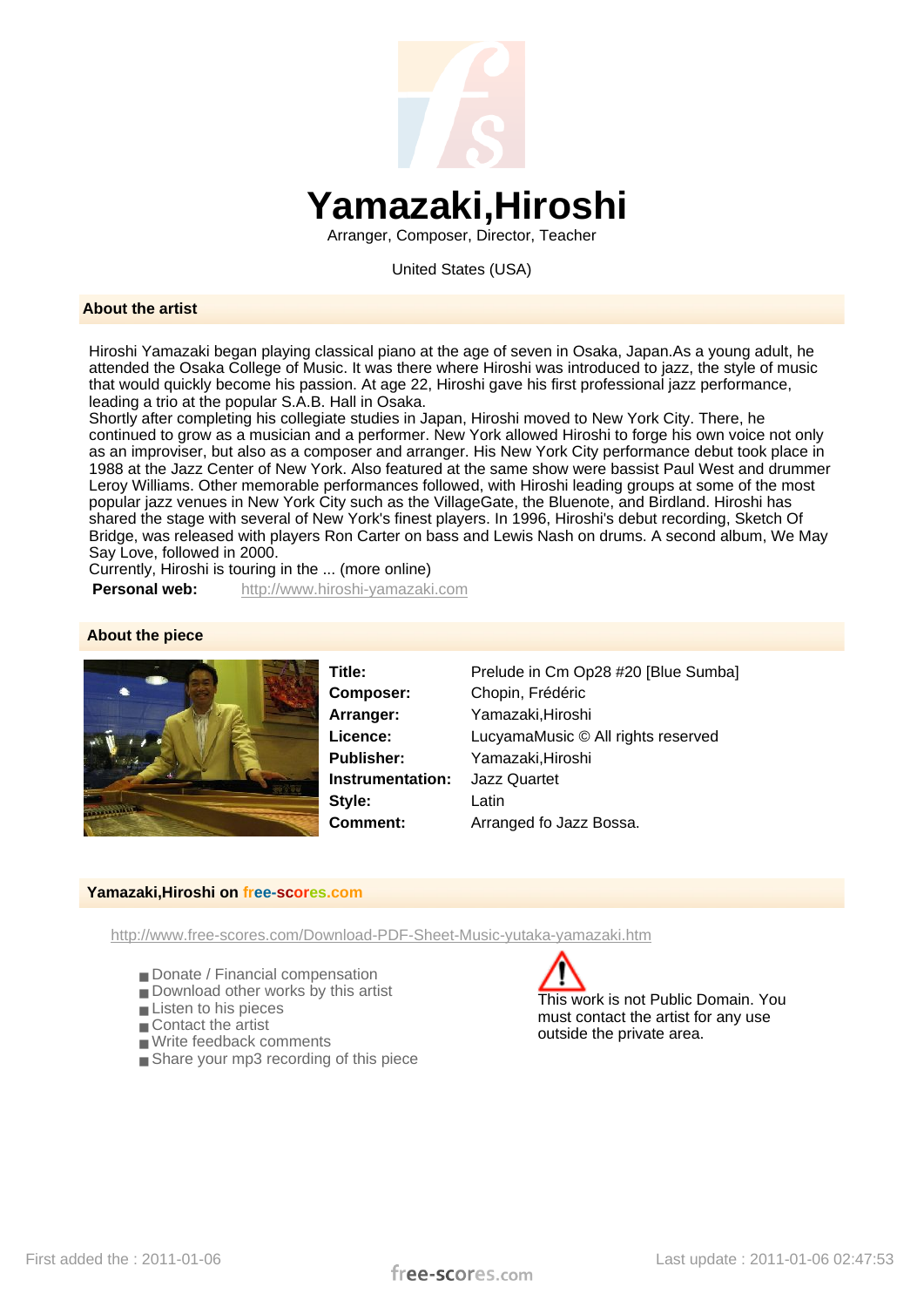

Arranger, Composer, Director, Teacher

United States (USA)

## **About the artist**

Hiroshi Yamazaki began playing classical piano at the age of seven in Osaka, Japan.As a young adult, he attended the Osaka College of Music. It was there where Hiroshi was introduced to jazz, the style of music that would quickly become his passion. At age 22, Hiroshi gave his first professional jazz performance, leading a trio at the popular S.A.B. Hall in Osaka.

Shortly after completing his collegiate studies in Japan, Hiroshi moved to New York City. There, he continued to grow as a musician and a performer. New York allowed Hiroshi to forge his own voice not only as an improviser, but also as a composer and arranger. His New York City performance debut took place in 1988 at the Jazz Center of New York. Also featured at the same show were bassist Paul West and drummer Leroy Williams. Other memorable performances followed, with Hiroshi leading groups at some of the most popular jazz venues in New York City such as the VillageGate, the Bluenote, and Birdland. Hiroshi has shared the stage with several of New York's finest players. In 1996, Hiroshi's debut recording, Sketch Of Bridge, was released with players Ron Carter on bass and Lewis Nash on drums. A second album, We May Say Love, followed in 2000.

Currently, Hiroshi is touring in the ... (more online)

**Personal web:** http://www.hiroshi-yamazaki.com

## **About the piece**



**Instrumentation:** Jazz Quartet **Style:** Latin

**Title:** Prelude in Cm Op28 #20 [Blue Sumba] **Composer:** Chopin, Frédéric **Arranger:** Yamazaki,Hiroshi **Licence:** LucyamaMusic © All rights reserved **Publisher:** Yamazaki,Hiroshi **Comment:** Arranged fo Jazz Bossa.

## **Yamazaki,Hiroshi on free-scores.com**

http://www.free-scores.com/Download-PDF-Sheet-Music-yutaka-yamazaki.htm

- Donate / Financial compensation
- Download other works by this artist
- Listen to his pieces
- Contact the artist
- Write feedback comments
- Share your mp3 recording of this piece



This work is not Public Domain. You must contact the artist for any use outside the private area.